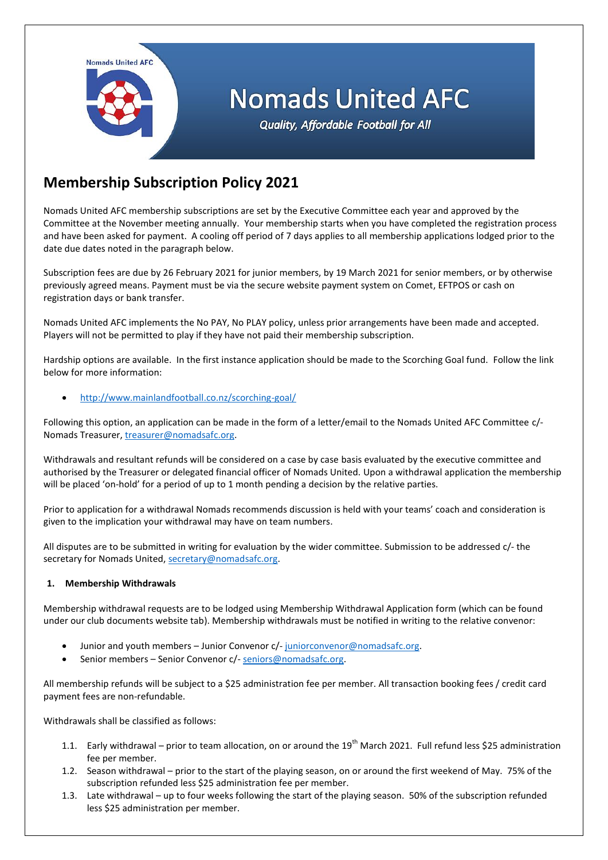Nomads United AFC

# **Nomads United AFC**

Quality, Affordable Football for All

## **Membership Subscription Policy 2021**

Nomads United AFC membership subscriptions are set by the Executive Committee each year and approved by the Committee at the November meeting annually. Your membership starts when you have completed the registration process and have been asked for payment. A cooling off period of 7 days applies to all membership applications lodged prior to the date due dates noted in the paragraph below.

Subscription fees are due by 26 February 2021 for junior members, by 19 March 2021 for senior members, or by otherwise previously agreed means. Payment must be via the secure website payment system on Comet, EFTPOS or cash on registration days or bank transfer.

Nomads United AFC implements the No PAY, No PLAY policy, unless prior arrangements have been made and accepted. Players will not be permitted to play if they have not paid their membership subscription.

Hardship options are available. In the first instance application should be made to the Scorching Goal fund. Follow the link below for more information:

<http://www.mainlandfootball.co.nz/scorching-goal/>

Following this option, an application can be made in the form of a letter/email to the Nomads United AFC Committee c/- Nomads Treasurer, [treasurer@nomadsafc.org.](mailto:treasurer@nomadsafc.org)

Withdrawals and resultant refunds will be considered on a case by case basis evaluated by the executive committee and authorised by the Treasurer or delegated financial officer of Nomads United. Upon a withdrawal application the membership will be placed 'on-hold' for a period of up to 1 month pending a decision by the relative parties.

Prior to application for a withdrawal Nomads recommends discussion is held with your teams' coach and consideration is given to the implication your withdrawal may have on team numbers.

All disputes are to be submitted in writing for evaluation by the wider committee. Submission to be addressed c/- the secretary for Nomads United, [secretary@nomadsafc.org.](mailto:secretary@nomadsafc.org)

### **1. Membership Withdrawals**

Membership withdrawal requests are to be lodged using Membership Withdrawal Application form (which can be found under our club documents website tab). Membership withdrawals must be notified in writing to the relative convenor:

- Junior and youth members Junior Convenor c/- [juniorconvenor@nomadsafc.org.](mailto:juniorconvenor@nomadsafc.org)
- Senior members Senior Convenor c/- [seniors@nomadsafc.org.](mailto:seniors@nomadsafc.org)

All membership refunds will be subject to a \$25 administration fee per member. All transaction booking fees / credit card payment fees are non-refundable.

Withdrawals shall be classified as follows:

- 1.1. Early withdrawal prior to team allocation, on or around the 19<sup>th</sup> March 2021. Full refund less \$25 administration fee per member.
- 1.2. Season withdrawal prior to the start of the playing season, on or around the first weekend of May. 75% of the subscription refunded less \$25 administration fee per member.
- 1.3. Late withdrawal up to four weeks following the start of the playing season. 50% of the subscription refunded less \$25 administration per member.